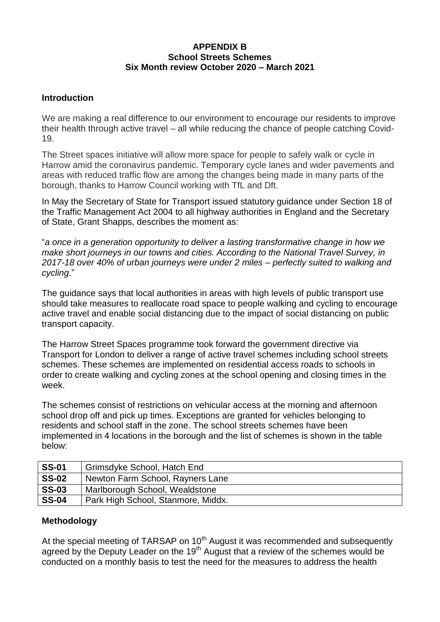# **APPENDIX B School Streets Schemes Six Month review October 2020 – March 2021**

### **Introduction**

We are making a real difference to our environment to encourage our residents to improve their health through active travel – all while reducing the chance of people catching Covid-19.

The Street spaces initiative will allow more space for people to safely walk or cycle in Harrow amid the coronavirus pandemic. Temporary cycle lanes and wider pavements and areas with reduced traffic flow are among the changes being made in many parts of the borough, thanks to Harrow Council working with TfL and Dft.

In May the Secretary of State for Transport issued statutory guidance under Section 18 of the Traffic Management Act 2004 to all highway authorities in England and the Secretary of State, Grant Shapps, describes the moment as:

"*a once in a generation opportunity to deliver a lasting transformative change in how we make short journeys in our towns and cities. According to the [National Travel Survey,](https://www.gov.uk/government/collections/national-travel-survey-statistics) in 2017-18 over 40% of urban journeys were under 2 miles – perfectly suited to walking and cycling*."

The guidance says that local authorities in areas with high levels of public transport use should take measures to reallocate road space to people walking and cycling to encourage active travel and enable social distancing due to the impact of social distancing on public transport capacity.

The Harrow Street Spaces programme took forward the government directive via Transport for London to deliver a range of active travel schemes including school streets schemes. These schemes are implemented on residential access roads to schools in order to create walking and cycling zones at the school opening and closing times in the week.

The schemes consist of restrictions on vehicular access at the morning and afternoon school drop off and pick up times. Exceptions are granted for vehicles belonging to residents and school staff in the zone. The school streets schemes have been implemented in 4 locations in the borough and the list of schemes is shown in the table below:

| <b>SS-01</b> | Grimsdyke School, Hatch End        |
|--------------|------------------------------------|
| <b>SS-02</b> | Newton Farm School, Rayners Lane   |
| <b>SS-03</b> | Marlborough School, Wealdstone     |
| <b>SS-04</b> | Park High School, Stanmore, Middx. |

# **Methodology**

At the special meeting of TARSAP on 10<sup>th</sup> August it was recommended and subsequently agreed by the Deputy Leader on the 19<sup>th</sup> August that a review of the schemes would be conducted on a monthly basis to test the need for the measures to address the health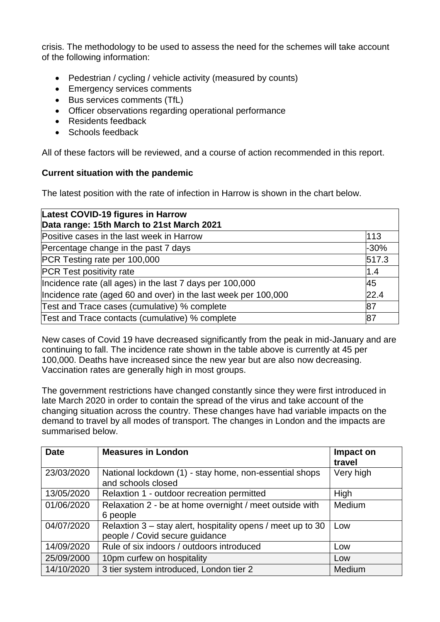crisis. The methodology to be used to assess the need for the schemes will take account of the following information:

- Pedestrian / cycling / vehicle activity (measured by counts)
- Emergency services comments
- Bus services comments (TfL)
- Officer observations regarding operational performance
- Residents feedback
- Schools feedback

All of these factors will be reviewed, and a course of action recommended in this report.

# **Current situation with the pandemic**

The latest position with the rate of infection in Harrow is shown in the chart below.

| Latest COVID-19 figures in Harrow<br>Data range: 15th March to 21st March 2021 |                |
|--------------------------------------------------------------------------------|----------------|
| Positive cases in the last week in Harrow                                      | 113            |
| Percentage change in the past 7 days                                           | $-30%$         |
| PCR Testing rate per 100,000                                                   | 517.3          |
| <b>PCR Test positivity rate</b>                                                | $\mathsf{1.4}$ |
| Incidence rate (all ages) in the last 7 days per 100,000                       | 45             |
| Incidence rate (aged 60 and over) in the last week per 100,000                 | 22.4           |
| Test and Trace cases (cumulative) % complete                                   | 87             |
| Test and Trace contacts (cumulative) % complete                                | 87             |

New cases of Covid 19 have decreased significantly from the peak in mid-January and are continuing to fall. The incidence rate shown in the table above is currently at 45 per 100,000. Deaths have increased since the new year but are also now decreasing. Vaccination rates are generally high in most groups.

The government restrictions have changed constantly since they were first introduced in late March 2020 in order to contain the spread of the virus and take account of the changing situation across the country. These changes have had variable impacts on the demand to travel by all modes of transport. The changes in London and the impacts are summarised below.

| <b>Date</b> | <b>Measures in London</b>                                                                     | Impact on<br>travel |
|-------------|-----------------------------------------------------------------------------------------------|---------------------|
| 23/03/2020  | National lockdown (1) - stay home, non-essential shops<br>and schools closed                  | Very high           |
| 13/05/2020  | Relaxtion 1 - outdoor recreation permitted                                                    | High                |
| 01/06/2020  | Relaxation 2 - be at home overnight / meet outside with<br>6 people                           | Medium              |
| 04/07/2020  | Relaxtion 3 – stay alert, hospitality opens / meet up to 30<br>people / Covid secure guidance | Low                 |
| 14/09/2020  | Rule of six indoors / outdoors introduced                                                     | Low                 |
| 25/09/2000  | 10pm curfew on hospitality                                                                    | Low                 |
| 14/10/2020  | 3 tier system introduced, London tier 2                                                       | Medium              |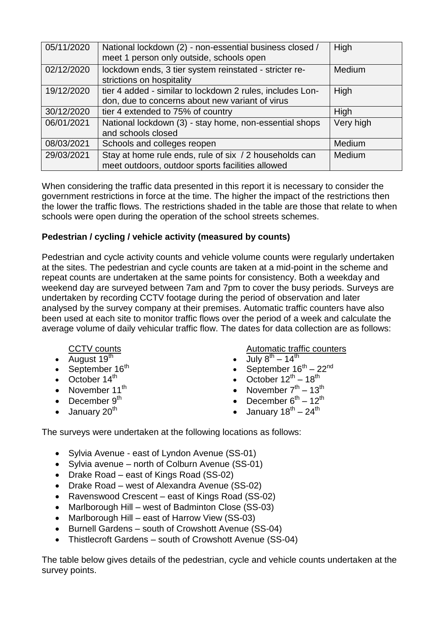| 05/11/2020 | National lockdown (2) - non-essential business closed /<br>meet 1 person only outside, schools open          | High          |
|------------|--------------------------------------------------------------------------------------------------------------|---------------|
| 02/12/2020 | lockdown ends, 3 tier system reinstated - stricter re-<br>strictions on hospitality                          | <b>Medium</b> |
| 19/12/2020 | tier 4 added - similar to lockdown 2 rules, includes Lon-<br>don, due to concerns about new variant of virus | High          |
| 30/12/2020 | tier 4 extended to 75% of country                                                                            | High          |
| 06/01/2021 | National lockdown (3) - stay home, non-essential shops<br>and schools closed                                 | Very high     |
| 08/03/2021 | Schools and colleges reopen                                                                                  | <b>Medium</b> |
| 29/03/2021 | Stay at home rule ends, rule of six / 2 households can<br>meet outdoors, outdoor sports facilities allowed   | <b>Medium</b> |

When considering the traffic data presented in this report it is necessary to consider the government restrictions in force at the time. The higher the impact of the restrictions then the lower the traffic flows. The restrictions shaded in the table are those that relate to when schools were open during the operation of the school streets schemes.

# **Pedestrian / cycling / vehicle activity (measured by counts)**

Pedestrian and cycle activity counts and vehicle volume counts were regularly undertaken at the sites. The pedestrian and cycle counts are taken at a mid-point in the scheme and repeat counts are undertaken at the same points for consistency. Both a weekday and weekend day are surveyed between 7am and 7pm to cover the busy periods. Surveys are undertaken by recording CCTV footage during the period of observation and later analysed by the survey company at their premises. Automatic traffic counters have also been used at each site to monitor traffic flows over the period of a week and calculate the average volume of daily vehicular traffic flow. The dates for data collection are as follows:

### CCTV counts

- August  $19^{th}$
- September  $16<sup>th</sup>$
- October  $14<sup>th</sup>$
- November  $11^{th}$
- December  $9<sup>th</sup>$
- $\bullet$  January 20<sup>th</sup>

Automatic traffic counters

- $\bullet$  July  $8^{th} 14^{th}$
- September  $16^{th} 22^{nd}$
- October  $12^{th} 18^{th}$
- November  $7<sup>th</sup> 13<sup>th</sup>$
- December  $6^{th} 12^{th}$
- $\bullet$  January 18<sup>th</sup> 24<sup>th</sup>
- The surveys were undertaken at the following locations as follows:
	- Sylvia Avenue east of Lyndon Avenue (SS-01)
	- Sylvia avenue north of Colburn Avenue (SS-01)
	- Drake Road east of Kings Road (SS-02)
	- Drake Road west of Alexandra Avenue (SS-02)
	- Ravenswood Crescent east of Kings Road (SS-02)
	- Marlborough Hill west of Badminton Close (SS-03)
	- Marlborough Hill east of Harrow View (SS-03)
	- Burnell Gardens south of Crowshott Avenue (SS-04)
	- Thistlecroft Gardens south of Crowshott Avenue (SS-04)

The table below gives details of the pedestrian, cycle and vehicle counts undertaken at the survey points.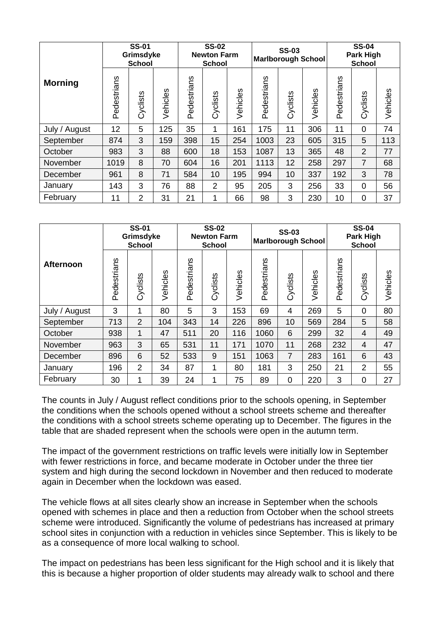|                | <b>SS-01</b><br>Grimsdyke<br><b>School</b> |          |          | <b>SS-02</b><br><b>Newton Farm</b><br><b>School</b> |                |          | <b>SS-03</b><br><b>Marlborough School</b> |          |          | <b>SS-04</b><br>Park High<br><b>School</b> |                |          |
|----------------|--------------------------------------------|----------|----------|-----------------------------------------------------|----------------|----------|-------------------------------------------|----------|----------|--------------------------------------------|----------------|----------|
| <b>Morning</b> | Pedestrians                                | Cyclists | Vehicles | Pedestrians                                         | Cyclists       | Vehicles | Pedestrians                               | Cyclists | Vehicles | Pedestrians                                | Cyclists       | Vehicles |
| July / August  | 12                                         | 5        | 125      | 35                                                  | 1              | 161      | 175                                       | 11       | 306      | 11                                         | 0              | 74       |
| September      | 874                                        | 3        | 159      | 398                                                 | 15             | 254      | 1003                                      | 23       | 605      | 315                                        | 5              | 113      |
| October        | 983                                        | 3        | 88       | 600                                                 | 18             | 153      | 1087                                      | 13       | 365      | 48                                         | $\overline{2}$ | 77       |
| November       | 1019                                       | 8        | 70       | 604                                                 | 16             | 201      | 1113                                      | 12       | 258      | 297                                        | $\overline{7}$ | 68       |
| December       | 961                                        | 8        | 71       | 584                                                 | 10             | 195      | 994                                       | 10       | 337      | 192                                        | 3              | 78       |
| January        | 143                                        | 3        | 76       | 88                                                  | $\overline{2}$ | 95       | 205                                       | 3        | 256      | 33                                         | 0              | 56       |
| February       | 11                                         | 2        | 31       | 21                                                  | 1              | 66       | 98                                        | 3        | 230      | 10                                         | 0              | 37       |

|                  | <b>SS-01</b><br>Grimsdyke<br><b>School</b> |                |          | <b>SS-02</b><br><b>Newton Farm</b><br><b>School</b> |          |          | <b>SS-03</b><br><b>Marlborough School</b> |                |          | <b>SS-04</b><br>Park High<br><b>School</b> |                |          |
|------------------|--------------------------------------------|----------------|----------|-----------------------------------------------------|----------|----------|-------------------------------------------|----------------|----------|--------------------------------------------|----------------|----------|
| <b>Afternoon</b> | Pedestrians                                | Cyclists       | Vehicles | Pedestrians                                         | Cyclists | Vehicles | Pedestrians                               | Cyclists       | Vehicles | Pedestrians                                | Cyclists       | Vehicles |
| July / August    | 3                                          | 1              | 80       | 5                                                   | 3        | 153      | 69                                        | $\overline{4}$ | 269      | 5                                          | 0              | 80       |
| September        | 713                                        | $\overline{2}$ | 104      | 343                                                 | 14       | 226      | 896                                       | 10             | 569      | 284                                        | 5              | 58       |
| October          | 938                                        | $\mathbf{1}$   | 47       | 511                                                 | 20       | 116      | 1060                                      | 6              | 299      | 32                                         | $\overline{4}$ | 49       |
| November         | 963                                        | 3              | 65       | 531                                                 | 11       | 171      | 1070                                      | 11             | 268      | 232                                        | $\overline{4}$ | 47       |
| December         | 896                                        | 6              | 52       | 533                                                 | 9        | 151      | 1063                                      | $\overline{7}$ | 283      | 161                                        | 6              | 43       |
| January          | 196                                        | $\overline{2}$ | 34       | 87                                                  | 1        | 80       | 181                                       | 3              | 250      | 21                                         | 2              | 55       |
| February         | 30                                         | $\mathbf{1}$   | 39       | 24                                                  | 1        | 75       | 89                                        | $\overline{0}$ | 220      | 3                                          | 0              | 27       |

The counts in July / August reflect conditions prior to the schools opening, in September the conditions when the schools opened without a school streets scheme and thereafter the conditions with a school streets scheme operating up to December. The figures in the table that are shaded represent when the schools were open in the autumn term.

The impact of the government restrictions on traffic levels were initially low in September with fewer restrictions in force, and became moderate in October under the three tier system and high during the second lockdown in November and then reduced to moderate again in December when the lockdown was eased.

The vehicle flows at all sites clearly show an increase in September when the schools opened with schemes in place and then a reduction from October when the school streets scheme were introduced. Significantly the volume of pedestrians has increased at primary school sites in conjunction with a reduction in vehicles since September. This is likely to be as a consequence of more local walking to school.

The impact on pedestrians has been less significant for the High school and it is likely that this is because a higher proportion of older students may already walk to school and there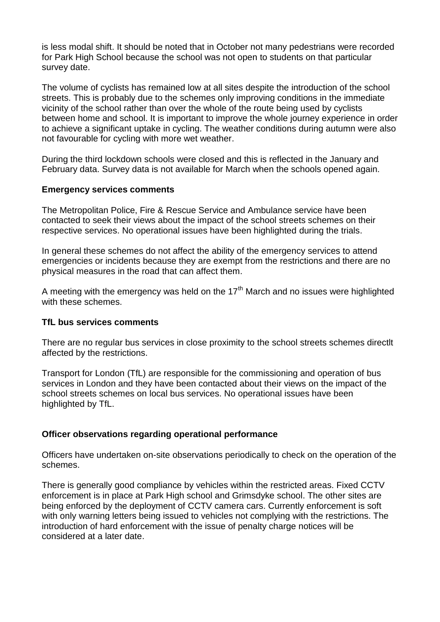is less modal shift. It should be noted that in October not many pedestrians were recorded for Park High School because the school was not open to students on that particular survey date.

The volume of cyclists has remained low at all sites despite the introduction of the school streets. This is probably due to the schemes only improving conditions in the immediate vicinity of the school rather than over the whole of the route being used by cyclists between home and school. It is important to improve the whole journey experience in order to achieve a significant uptake in cycling. The weather conditions during autumn were also not favourable for cycling with more wet weather.

During the third lockdown schools were closed and this is reflected in the January and February data. Survey data is not available for March when the schools opened again.

### **Emergency services comments**

The Metropolitan Police, Fire & Rescue Service and Ambulance service have been contacted to seek their views about the impact of the school streets schemes on their respective services. No operational issues have been highlighted during the trials.

In general these schemes do not affect the ability of the emergency services to attend emergencies or incidents because they are exempt from the restrictions and there are no physical measures in the road that can affect them.

A meeting with the emergency was held on the  $17<sup>th</sup>$  March and no issues were highlighted with these schemes.

#### **TfL bus services comments**

There are no regular bus services in close proximity to the school streets schemes directlt affected by the restrictions.

Transport for London (TfL) are responsible for the commissioning and operation of bus services in London and they have been contacted about their views on the impact of the school streets schemes on local bus services. No operational issues have been highlighted by TfL.

### **Officer observations regarding operational performance**

Officers have undertaken on-site observations periodically to check on the operation of the schemes.

There is generally good compliance by vehicles within the restricted areas. Fixed CCTV enforcement is in place at Park High school and Grimsdyke school. The other sites are being enforced by the deployment of CCTV camera cars. Currently enforcement is soft with only warning letters being issued to vehicles not complying with the restrictions. The introduction of hard enforcement with the issue of penalty charge notices will be considered at a later date.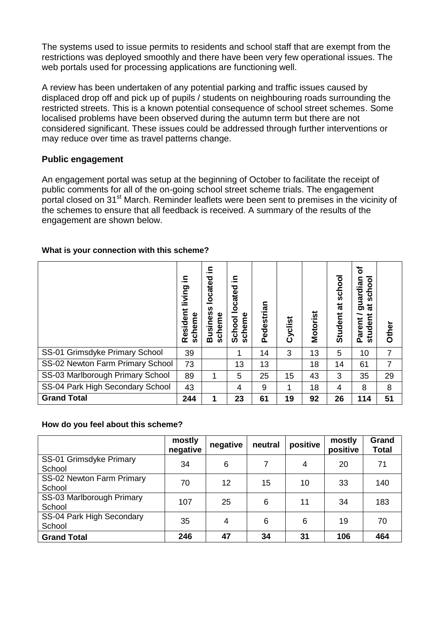The systems used to issue permits to residents and school staff that are exempt from the restrictions was deployed smoothly and there have been very few operational issues. The web portals used for processing applications are functioning well.

A review has been undertaken of any potential parking and traffic issues caused by displaced drop off and pick up of pupils / students on neighbouring roads surrounding the restricted streets. This is a known potential consequence of school street schemes. Some localised problems have been observed during the autumn term but there are not considered significant. These issues could be addressed through further interventions or may reduce over time as travel patterns change.

### **Public engagement**

An engagement portal was setup at the beginning of October to facilitate the receipt of public comments for all of the on-going school street scheme trials. The engagement portal closed on 31<sup>st</sup> March. Reminder leaflets were been sent to premises in the vicinity of the schemes to ensure that all feedback is received. A summary of the results of the engagement are shown below.

### **What is your connection with this scheme?**

|                                  | ≘.<br>living<br>Resident<br>scheme | ≘.<br>located<br>n<br><b>Busines</b><br>scheme | ≘.<br>located<br>scheme<br>School | Pedestrian | Cyclist | <b>Motorist</b> | schoo<br>ಹ<br>Student | ৳<br>schoo<br>guardia<br>ಕ<br>student<br>Parent | Other |
|----------------------------------|------------------------------------|------------------------------------------------|-----------------------------------|------------|---------|-----------------|-----------------------|-------------------------------------------------|-------|
| SS-01 Grimsdyke Primary School   | 39                                 |                                                |                                   | 14         | 3       | 13              | 5                     | 10                                              | 7     |
| SS-02 Newton Farm Primary School | 73                                 |                                                | 13                                | 13         |         | 18              | 14                    | 61                                              |       |
| SS-03 Marlborough Primary School | 89                                 | 1                                              | 5                                 | 25         | 15      | 43              | 3                     | 35                                              | 29    |
| SS-04 Park High Secondary School | 43                                 |                                                | 4                                 | 9          | 1       | 18              | 4                     | 8                                               | 8     |
| <b>Grand Total</b>               | 244                                | 1                                              | 23                                | 61         | 19      | 92              | 26                    | 114                                             | 51    |

### **How do you feel about this scheme?**

|                                     | mostly<br>negative | negative | neutral | positive | mostly<br>positive | Grand<br><b>Total</b> |
|-------------------------------------|--------------------|----------|---------|----------|--------------------|-----------------------|
| SS-01 Grimsdyke Primary<br>School   | 34                 | 6        |         | 4        | 20                 | 71                    |
| SS-02 Newton Farm Primary<br>School | 70                 | 12       | 15      | 10       | 33                 | 140                   |
| SS-03 Marlborough Primary<br>School | 107                | 25       | 6       | 11       | 34                 | 183                   |
| SS-04 Park High Secondary<br>School | 35                 | 4        | 6       | 6        | 19                 | 70                    |
| <b>Grand Total</b>                  | 246                | 47       | 34      | 31       | 106                | 464                   |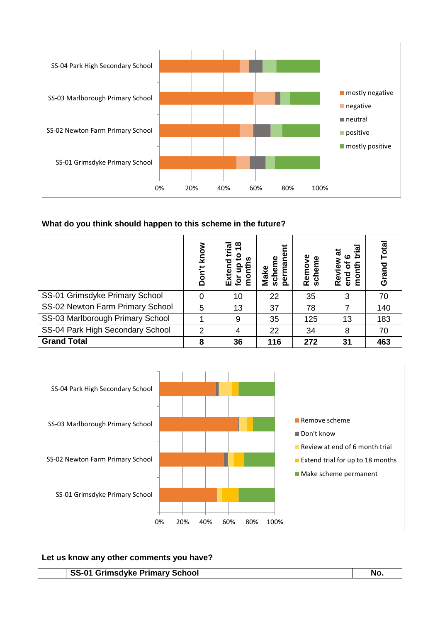

# **What do you think should happen to this scheme in the future?**

|                                  | know<br>Don't | ≌<br>ᢐ<br>g<br>찣<br><u>ۃ</u> | ٦Ē<br>Make<br>Scho<br>8 | Remove<br>scheme | ശ<br><b>Dus</b><br>ج<br>Re<br>ōu | Total<br>Grand |
|----------------------------------|---------------|------------------------------|-------------------------|------------------|----------------------------------|----------------|
| SS-01 Grimsdyke Primary School   |               | 10                           | 22                      | 35               | 3                                | 70             |
| SS-02 Newton Farm Primary School | 5             | 13                           | 37                      | 78               |                                  | 140            |
| SS-03 Marlborough Primary School |               | 9                            | 35                      | 125              | 13                               | 183            |
| SS-04 Park High Secondary School | 2             | 4                            | 22                      | 34               | 8                                | 70             |
| <b>Grand Total</b>               | 8             | 36                           | 116                     | 272              | 31                               | 463            |



#### **Let us know any other comments you have?**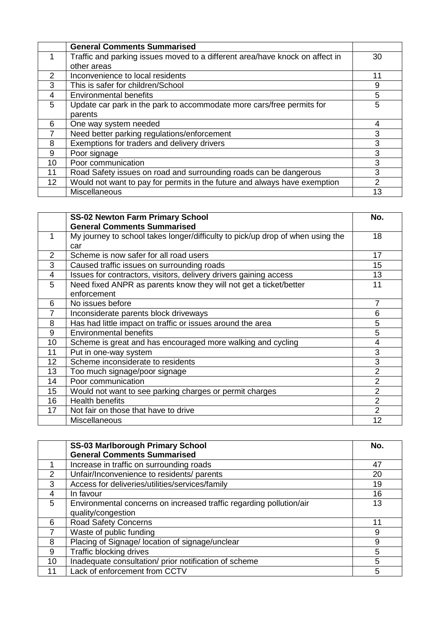|                 | <b>General Comments Summarised</b>                                           |    |
|-----------------|------------------------------------------------------------------------------|----|
|                 | Traffic and parking issues moved to a different area/have knock on affect in | 30 |
|                 | other areas                                                                  |    |
| 2               | Inconvenience to local residents                                             | 11 |
| 3               | This is safer for children/School                                            | 9  |
| 4               | <b>Environmental benefits</b>                                                | 5  |
| 5               | Update car park in the park to accommodate more cars/free permits for        | 5  |
|                 | parents                                                                      |    |
| 6               | One way system needed                                                        | 4  |
|                 | Need better parking regulations/enforcement                                  | 3  |
| 8               | Exemptions for traders and delivery drivers                                  | 3  |
| 9               | Poor signage                                                                 | 3  |
| 10 <sup>1</sup> | Poor communication                                                           | 3  |
| 11              | Road Safety issues on road and surrounding roads can be dangerous            | 3  |
| 12              | Would not want to pay for permits in the future and always have exemption    | 2  |
|                 | Miscellaneous                                                                | 13 |

|                | <b>SS-02 Newton Farm Primary School</b>                                        | No.            |
|----------------|--------------------------------------------------------------------------------|----------------|
|                | <b>General Comments Summarised</b>                                             |                |
| 1              | My journey to school takes longer/difficulty to pick/up drop of when using the | 18             |
|                | car                                                                            |                |
| $\overline{2}$ | Scheme is now safer for all road users                                         | 17             |
| 3              | Caused traffic issues on surrounding roads                                     | 15             |
| $\overline{4}$ | Issues for contractors, visitors, delivery drivers gaining access              | 13             |
| 5              | Need fixed ANPR as parents know they will not get a ticket/better              | 11             |
|                | enforcement                                                                    |                |
| 6              | No issues before                                                               | 7              |
|                | Inconsiderate parents block driveways                                          | 6              |
| 8              | Has had little impact on traffic or issues around the area                     | 5              |
| 9              | <b>Environmental benefits</b>                                                  | 5              |
| 10             | Scheme is great and has encouraged more walking and cycling                    | 4              |
| 11             | Put in one-way system                                                          | 3              |
| 12             | Scheme inconsiderate to residents                                              | 3              |
| 13             | Too much signage/poor signage                                                  | $\overline{2}$ |
| 14             | Poor communication                                                             | $\overline{2}$ |
| 15             | Would not want to see parking charges or permit charges                        | 2              |
| 16             | <b>Health benefits</b>                                                         | $\overline{2}$ |
| 17             | Not fair on those that have to drive                                           | $\overline{2}$ |
|                | <b>Miscellaneous</b>                                                           | 12             |

|               | <b>SS-03 Marlborough Primary School</b>                             | No. |
|---------------|---------------------------------------------------------------------|-----|
|               | <b>General Comments Summarised</b>                                  |     |
|               | Increase in traffic on surrounding roads                            | 47  |
| $\mathcal{P}$ | Unfair/Inconvenience to residents/ parents                          | 20  |
| 3             | Access for deliveries/utilities/services/family                     | 19  |
| 4             | In favour                                                           | 16  |
| 5             | Environmental concerns on increased traffic regarding pollution/air | 13  |
|               | quality/congestion                                                  |     |
| 6             | <b>Road Safety Concerns</b>                                         | 11  |
| 7             | Waste of public funding                                             | 9   |
| 8             | Placing of Signage/ location of signage/unclear                     | 9   |
| 9             | <b>Traffic blocking drives</b>                                      | 5   |
| 10            | Inadequate consultation/ prior notification of scheme               | 5   |
|               | Lack of enforcement from CCTV                                       | 5   |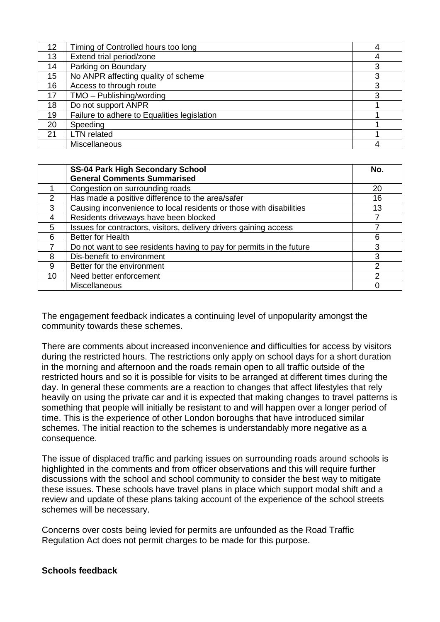| 12 | Timing of Controlled hours too long         |   |
|----|---------------------------------------------|---|
| 13 | Extend trial period/zone                    |   |
| 14 | Parking on Boundary                         | 3 |
| 15 | No ANPR affecting quality of scheme         | 3 |
| 16 | Access to through route                     | 3 |
| 17 | TMO - Publishing/wording                    | 3 |
| 18 | Do not support ANPR                         |   |
| 19 | Failure to adhere to Equalities legislation |   |
| 20 | Speeding                                    |   |
| 21 | <b>LTN</b> related                          |   |
|    | <b>Miscellaneous</b>                        |   |

|               | <b>SS-04 Park High Secondary School</b>                              | No. |
|---------------|----------------------------------------------------------------------|-----|
|               | <b>General Comments Summarised</b>                                   |     |
|               | Congestion on surrounding roads                                      | 20  |
| $\mathcal{P}$ | Has made a positive difference to the area/safer                     | 16  |
| 3             | Causing inconvenience to local residents or those with disabilities  | 13  |
| 4             | Residents driveways have been blocked                                |     |
| 5             | Issues for contractors, visitors, delivery drivers gaining access    |     |
| 6             | <b>Better for Health</b>                                             | 6   |
|               | Do not want to see residents having to pay for permits in the future | 3   |
| 8             | Dis-benefit to environment                                           | 3   |
| 9             | Better for the environment                                           | 2   |
| 10            | Need better enforcement                                              | 2   |
|               | Miscellaneous                                                        |     |

The engagement feedback indicates a continuing level of unpopularity amongst the community towards these schemes.

There are comments about increased inconvenience and difficulties for access by visitors during the restricted hours. The restrictions only apply on school days for a short duration in the morning and afternoon and the roads remain open to all traffic outside of the restricted hours and so it is possible for visits to be arranged at different times during the day. In general these comments are a reaction to changes that affect lifestyles that rely heavily on using the private car and it is expected that making changes to travel patterns is something that people will initially be resistant to and will happen over a longer period of time. This is the experience of other London boroughs that have introduced similar schemes. The initial reaction to the schemes is understandably more negative as a consequence.

The issue of displaced traffic and parking issues on surrounding roads around schools is highlighted in the comments and from officer observations and this will require further discussions with the school and school community to consider the best way to mitigate these issues. These schools have travel plans in place which support modal shift and a review and update of these plans taking account of the experience of the school streets schemes will be necessary.

Concerns over costs being levied for permits are unfounded as the Road Traffic Regulation Act does not permit charges to be made for this purpose.

### **Schools feedback**